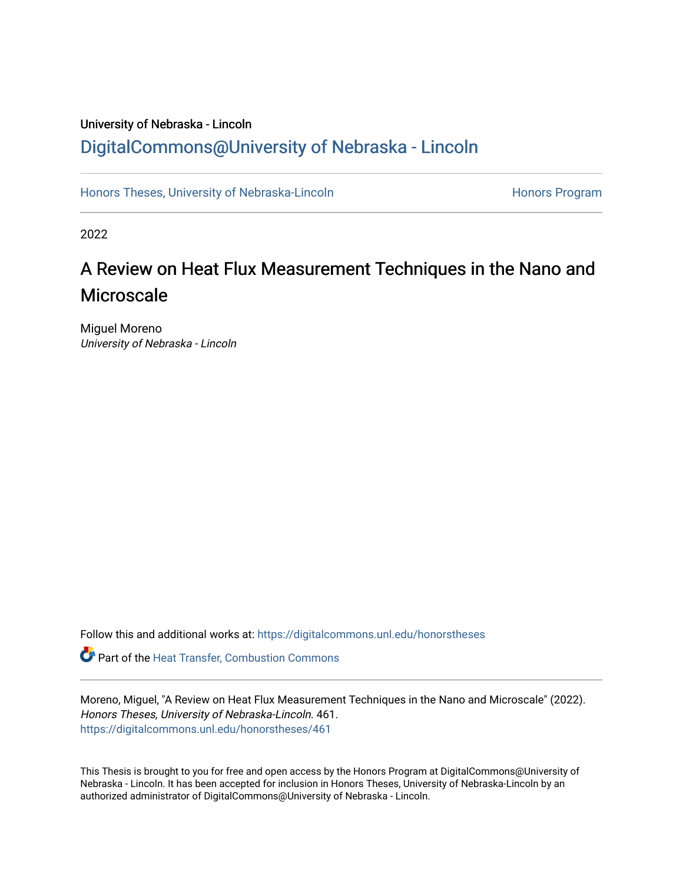# University of Nebraska - Lincoln [DigitalCommons@University of Nebraska - Lincoln](https://digitalcommons.unl.edu/)

[Honors Theses, University of Nebraska-Lincoln](https://digitalcommons.unl.edu/honorstheses) **Honors Program** Honors Program

2022

# A Review on Heat Flux Measurement Techniques in the Nano and Microscale

Miguel Moreno University of Nebraska - Lincoln

Follow this and additional works at: [https://digitalcommons.unl.edu/honorstheses](https://digitalcommons.unl.edu/honorstheses?utm_source=digitalcommons.unl.edu%2Fhonorstheses%2F461&utm_medium=PDF&utm_campaign=PDFCoverPages)

Part of the [Heat Transfer, Combustion Commons](http://network.bepress.com/hgg/discipline/300?utm_source=digitalcommons.unl.edu%2Fhonorstheses%2F461&utm_medium=PDF&utm_campaign=PDFCoverPages)

Moreno, Miguel, "A Review on Heat Flux Measurement Techniques in the Nano and Microscale" (2022). Honors Theses, University of Nebraska-Lincoln. 461. [https://digitalcommons.unl.edu/honorstheses/461](https://digitalcommons.unl.edu/honorstheses/461?utm_source=digitalcommons.unl.edu%2Fhonorstheses%2F461&utm_medium=PDF&utm_campaign=PDFCoverPages)

This Thesis is brought to you for free and open access by the Honors Program at DigitalCommons@University of Nebraska - Lincoln. It has been accepted for inclusion in Honors Theses, University of Nebraska-Lincoln by an authorized administrator of DigitalCommons@University of Nebraska - Lincoln.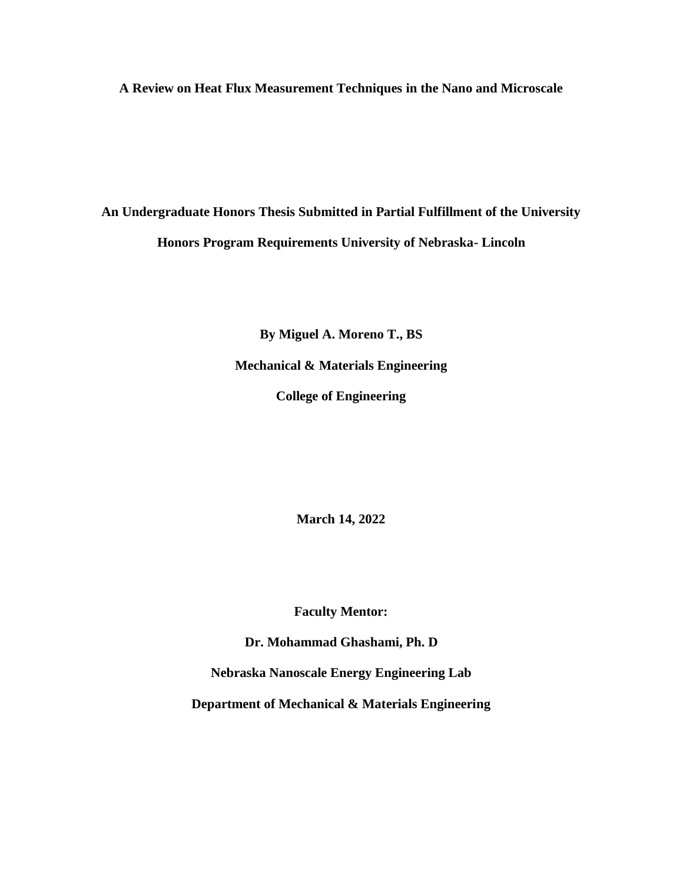**A Review on Heat Flux Measurement Techniques in the Nano and Microscale**

**An Undergraduate Honors Thesis Submitted in Partial Fulfillment of the University Honors Program Requirements University of Nebraska- Lincoln**

> **By Miguel A. Moreno T., BS Mechanical & Materials Engineering College of Engineering**

> > **March 14, 2022**

**Faculty Mentor:**

**Dr. Mohammad Ghashami, Ph. D**

**Nebraska Nanoscale Energy Engineering Lab**

**Department of Mechanical & Materials Engineering**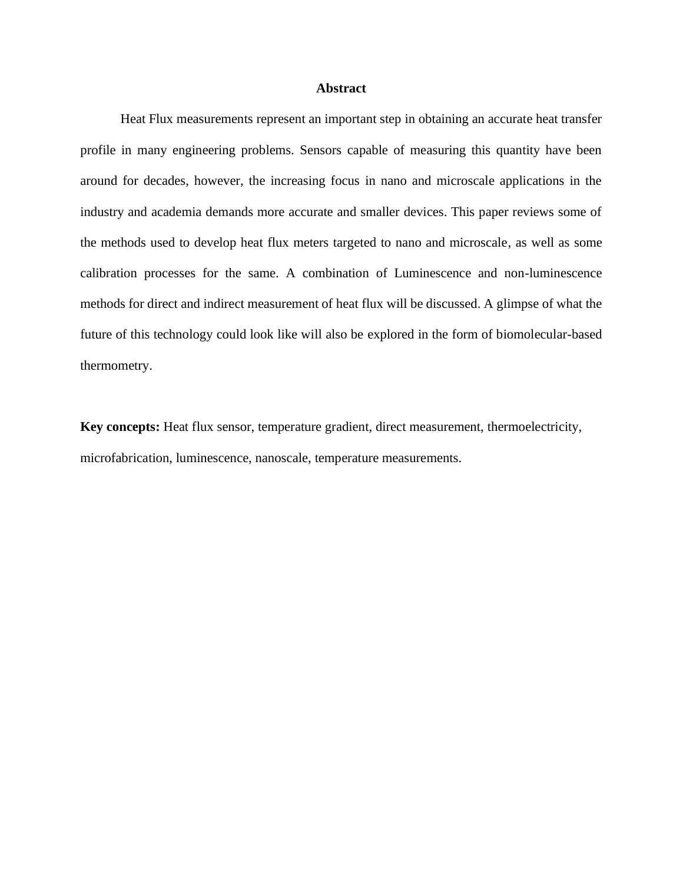# **Abstract**

Heat Flux measurements represent an important step in obtaining an accurate heat transfer profile in many engineering problems. Sensors capable of measuring this quantity have been around for decades, however, the increasing focus in nano and microscale applications in the industry and academia demands more accurate and smaller devices. This paper reviews some of the methods used to develop heat flux meters targeted to nano and microscale, as well as some calibration processes for the same. A combination of Luminescence and non-luminescence methods for direct and indirect measurement of heat flux will be discussed. A glimpse of what the future of this technology could look like will also be explored in the form of biomolecular-based thermometry.

**Key concepts:** Heat flux sensor, temperature gradient, direct measurement, thermoelectricity, microfabrication, luminescence, nanoscale, temperature measurements.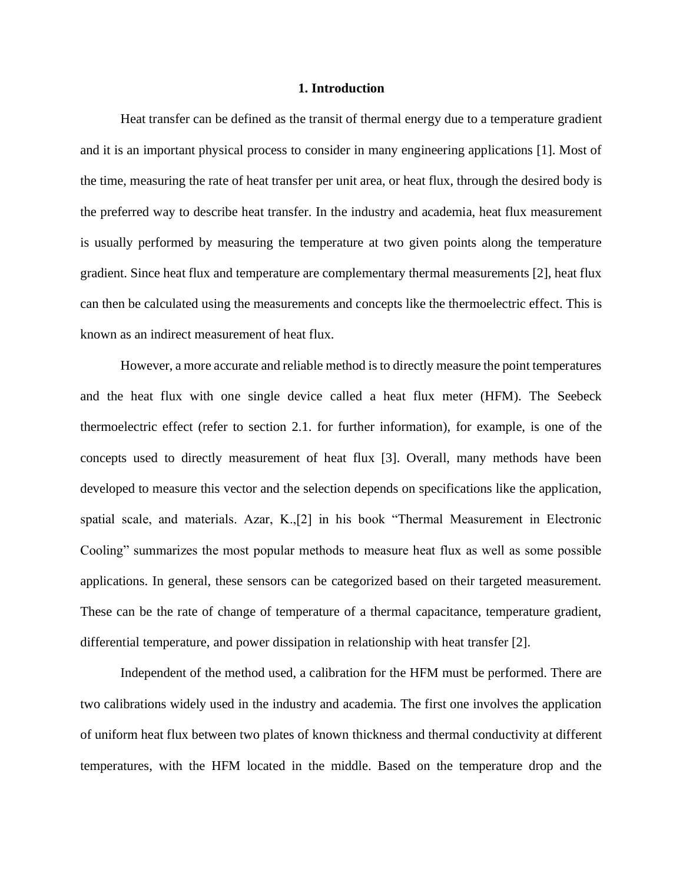### **1. Introduction**

Heat transfer can be defined as the transit of thermal energy due to a temperature gradient and it is an important physical process to consider in many engineering applications [1]. Most of the time, measuring the rate of heat transfer per unit area, or heat flux, through the desired body is the preferred way to describe heat transfer. In the industry and academia, heat flux measurement is usually performed by measuring the temperature at two given points along the temperature gradient. Since heat flux and temperature are complementary thermal measurements [2], heat flux can then be calculated using the measurements and concepts like the thermoelectric effect. This is known as an indirect measurement of heat flux.

However, a more accurate and reliable method is to directly measure the point temperatures and the heat flux with one single device called a heat flux meter (HFM). The Seebeck thermoelectric effect (refer to section 2.1. for further information), for example, is one of the concepts used to directly measurement of heat flux [3]. Overall, many methods have been developed to measure this vector and the selection depends on specifications like the application, spatial scale, and materials. Azar, K.,[2] in his book "Thermal Measurement in Electronic Cooling" summarizes the most popular methods to measure heat flux as well as some possible applications. In general, these sensors can be categorized based on their targeted measurement. These can be the rate of change of temperature of a thermal capacitance, temperature gradient, differential temperature, and power dissipation in relationship with heat transfer [2].

Independent of the method used, a calibration for the HFM must be performed. There are two calibrations widely used in the industry and academia. The first one involves the application of uniform heat flux between two plates of known thickness and thermal conductivity at different temperatures, with the HFM located in the middle. Based on the temperature drop and the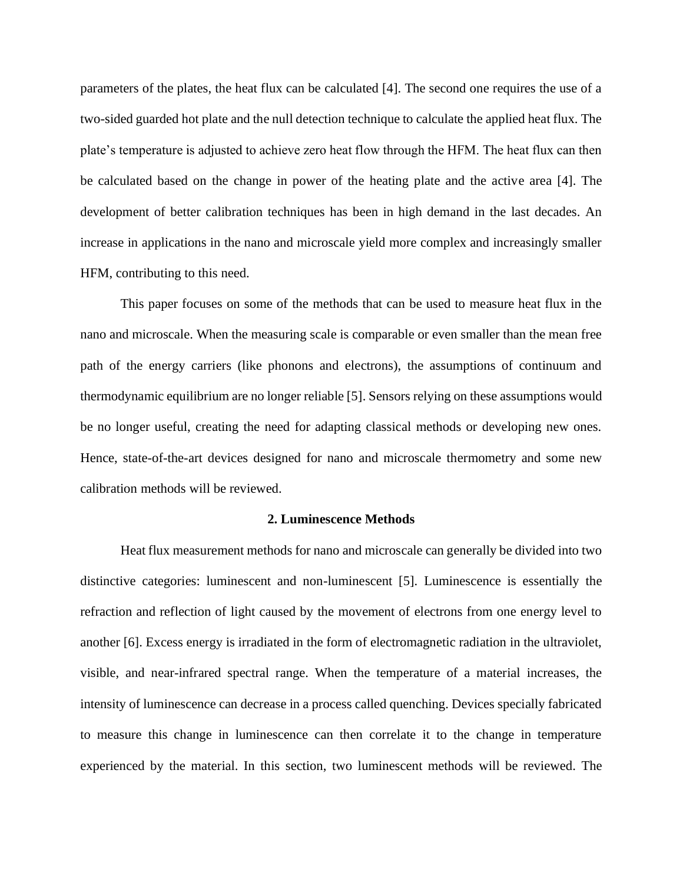parameters of the plates, the heat flux can be calculated [4]. The second one requires the use of a two-sided guarded hot plate and the null detection technique to calculate the applied heat flux. The plate's temperature is adjusted to achieve zero heat flow through the HFM. The heat flux can then be calculated based on the change in power of the heating plate and the active area [4]. The development of better calibration techniques has been in high demand in the last decades. An increase in applications in the nano and microscale yield more complex and increasingly smaller HFM, contributing to this need.

This paper focuses on some of the methods that can be used to measure heat flux in the nano and microscale. When the measuring scale is comparable or even smaller than the mean free path of the energy carriers (like phonons and electrons), the assumptions of continuum and thermodynamic equilibrium are no longer reliable [5]. Sensors relying on these assumptions would be no longer useful, creating the need for adapting classical methods or developing new ones. Hence, state-of-the-art devices designed for nano and microscale thermometry and some new calibration methods will be reviewed.

#### **2. Luminescence Methods**

Heat flux measurement methods for nano and microscale can generally be divided into two distinctive categories: luminescent and non-luminescent [5]. Luminescence is essentially the refraction and reflection of light caused by the movement of electrons from one energy level to another [6]. Excess energy is irradiated in the form of electromagnetic radiation in the ultraviolet, visible, and near-infrared spectral range. When the temperature of a material increases, the intensity of luminescence can decrease in a process called quenching. Devices specially fabricated to measure this change in luminescence can then correlate it to the change in temperature experienced by the material. In this section, two luminescent methods will be reviewed. The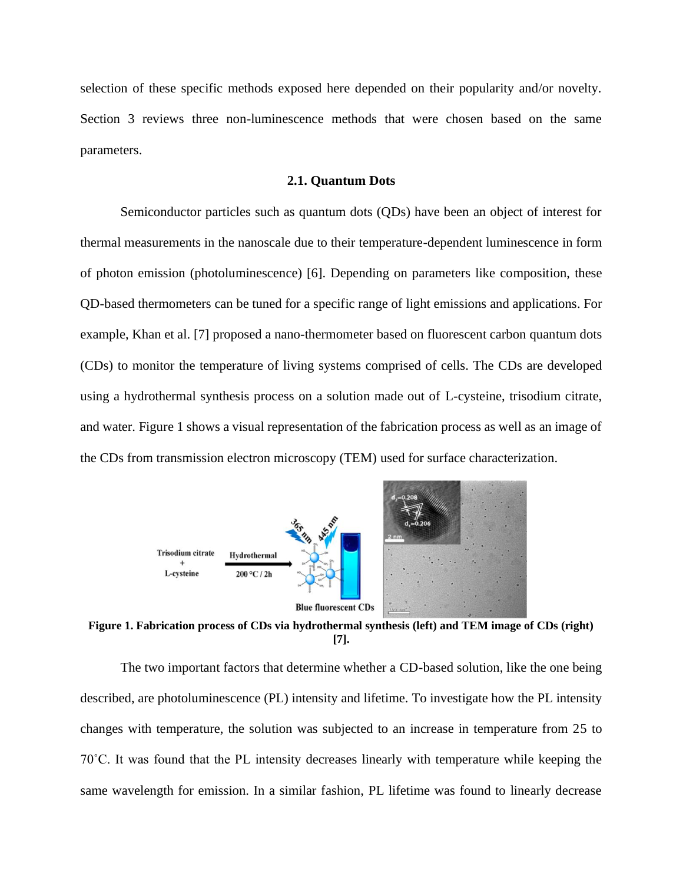selection of these specific methods exposed here depended on their popularity and/or novelty. Section 3 reviews three non-luminescence methods that were chosen based on the same parameters.

# **2.1. Quantum Dots**

Semiconductor particles such as quantum dots (QDs) have been an object of interest for thermal measurements in the nanoscale due to their temperature-dependent luminescence in form of photon emission (photoluminescence) [6]. Depending on parameters like composition, these QD-based thermometers can be tuned for a specific range of light emissions and applications. For example, Khan et al. [7] proposed a nano-thermometer based on fluorescent carbon quantum dots (CDs) to monitor the temperature of living systems comprised of cells. The CDs are developed using a hydrothermal synthesis process on a solution made out of L-cysteine, trisodium citrate, and water. Figure 1 shows a visual representation of the fabrication process as well as an image of the CDs from transmission electron microscopy (TEM) used for surface characterization.



**Figure 1. Fabrication process of CDs via hydrothermal synthesis (left) and TEM image of CDs (right) [7].**

The two important factors that determine whether a CD-based solution, like the one being described, are photoluminescence (PL) intensity and lifetime. To investigate how the PL intensity changes with temperature, the solution was subjected to an increase in temperature from 25 to 70˚C. It was found that the PL intensity decreases linearly with temperature while keeping the same wavelength for emission. In a similar fashion, PL lifetime was found to linearly decrease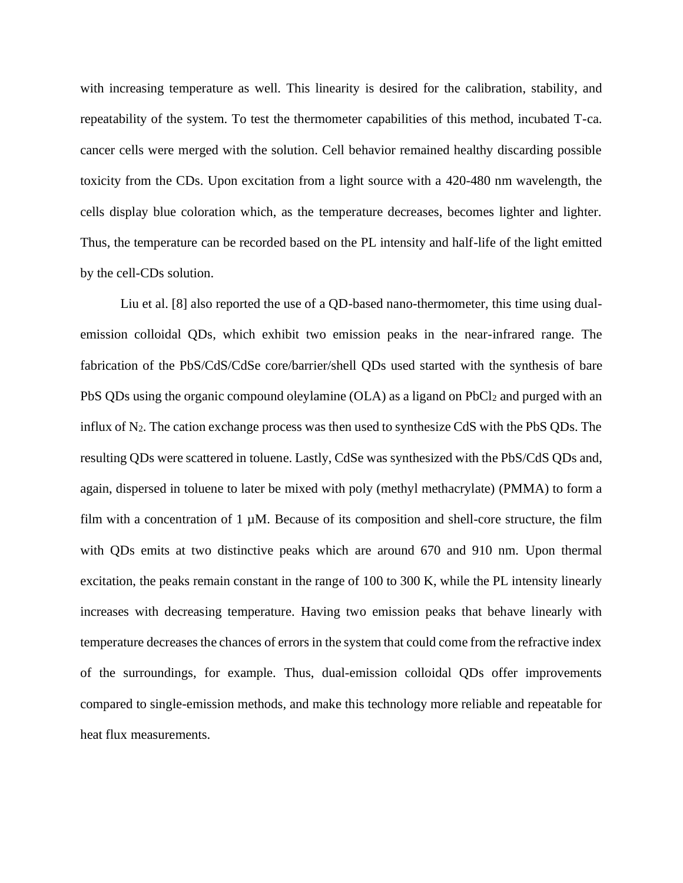with increasing temperature as well. This linearity is desired for the calibration, stability, and repeatability of the system. To test the thermometer capabilities of this method, incubated T-ca. cancer cells were merged with the solution. Cell behavior remained healthy discarding possible toxicity from the CDs. Upon excitation from a light source with a 420-480 nm wavelength, the cells display blue coloration which, as the temperature decreases, becomes lighter and lighter. Thus, the temperature can be recorded based on the PL intensity and half-life of the light emitted by the cell-CDs solution.

Liu et al. [8] also reported the use of a QD-based nano-thermometer, this time using dualemission colloidal QDs, which exhibit two emission peaks in the near-infrared range. The fabrication of the PbS/CdS/CdSe core/barrier/shell QDs used started with the synthesis of bare PbS QDs using the organic compound oleylamine (OLA) as a ligand on PbCl<sub>2</sub> and purged with an influx of N2. The cation exchange process was then used to synthesize CdS with the PbS QDs. The resulting QDs were scattered in toluene. Lastly, CdSe was synthesized with the PbS/CdS QDs and, again, dispersed in toluene to later be mixed with poly (methyl methacrylate) (PMMA) to form a film with a concentration of  $1 \mu M$ . Because of its composition and shell-core structure, the film with QDs emits at two distinctive peaks which are around 670 and 910 nm. Upon thermal excitation, the peaks remain constant in the range of 100 to 300 K, while the PL intensity linearly increases with decreasing temperature. Having two emission peaks that behave linearly with temperature decreases the chances of errors in the system that could come from the refractive index of the surroundings, for example. Thus, dual-emission colloidal QDs offer improvements compared to single-emission methods, and make this technology more reliable and repeatable for heat flux measurements.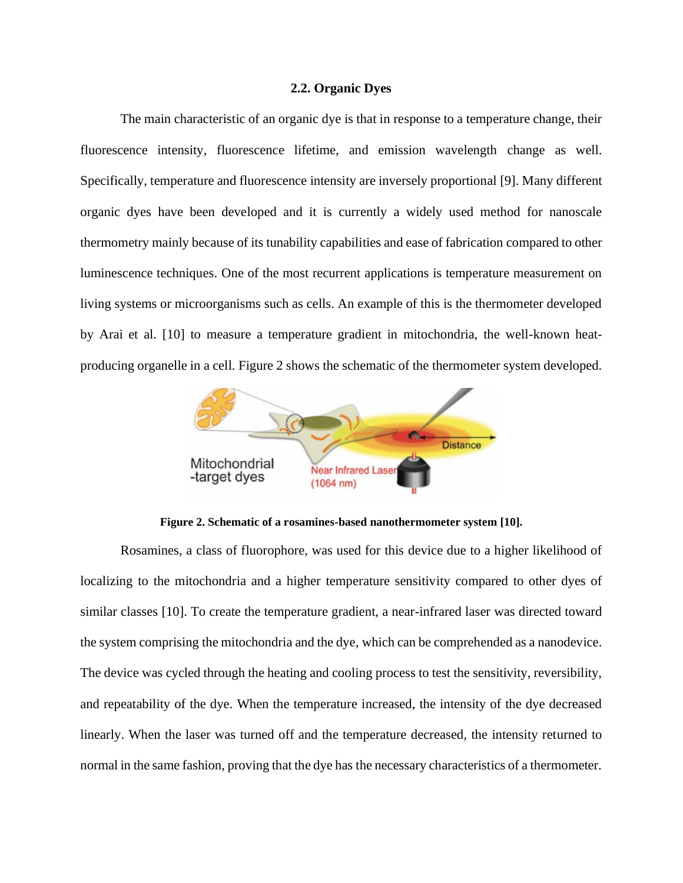# **2.2. Organic Dyes**

The main characteristic of an organic dye is that in response to a temperature change, their fluorescence intensity, fluorescence lifetime, and emission wavelength change as well. Specifically, temperature and fluorescence intensity are inversely proportional [9]. Many different organic dyes have been developed and it is currently a widely used method for nanoscale thermometry mainly because of its tunability capabilities and ease of fabrication compared to other luminescence techniques. One of the most recurrent applications is temperature measurement on living systems or microorganisms such as cells. An example of this is the thermometer developed by Arai et al. [10] to measure a temperature gradient in mitochondria, the well-known heatproducing organelle in a cell. Figure 2 shows the schematic of the thermometer system developed.



**Figure 2. Schematic of a rosamines-based nanothermometer system [10].**

Rosamines, a class of fluorophore, was used for this device due to a higher likelihood of localizing to the mitochondria and a higher temperature sensitivity compared to other dyes of similar classes [10]. To create the temperature gradient, a near-infrared laser was directed toward the system comprising the mitochondria and the dye, which can be comprehended as a nanodevice. The device was cycled through the heating and cooling process to test the sensitivity, reversibility, and repeatability of the dye. When the temperature increased, the intensity of the dye decreased linearly. When the laser was turned off and the temperature decreased, the intensity returned to normal in the same fashion, proving that the dye has the necessary characteristics of a thermometer.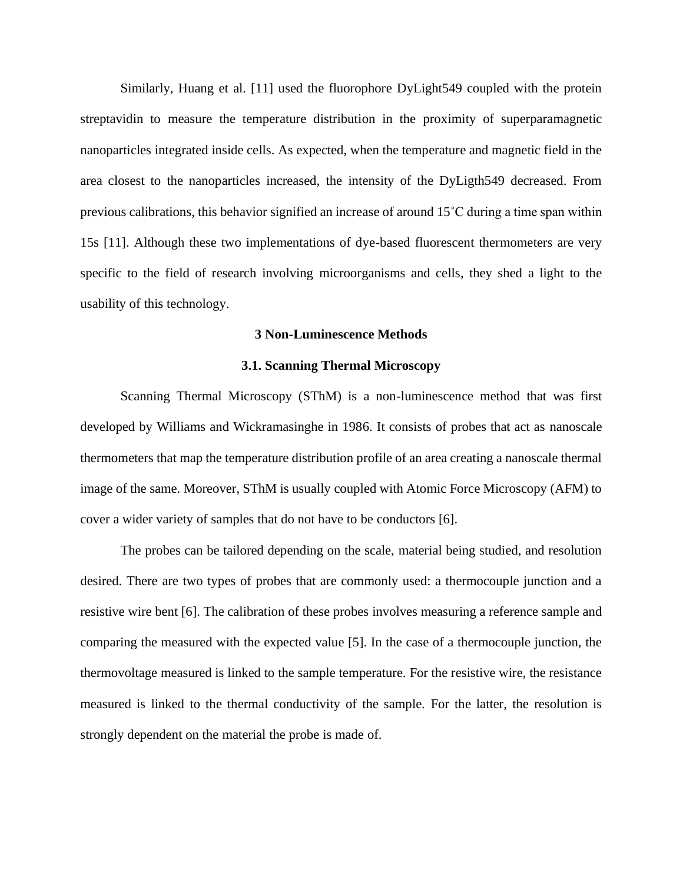Similarly, Huang et al. [11] used the fluorophore DyLight549 coupled with the protein streptavidin to measure the temperature distribution in the proximity of superparamagnetic nanoparticles integrated inside cells. As expected, when the temperature and magnetic field in the area closest to the nanoparticles increased, the intensity of the DyLigth549 decreased. From previous calibrations, this behavior signified an increase of around 15˚C during a time span within 15s [11]. Although these two implementations of dye-based fluorescent thermometers are very specific to the field of research involving microorganisms and cells, they shed a light to the usability of this technology.

# **3 Non-Luminescence Methods**

#### **3.1. Scanning Thermal Microscopy**

Scanning Thermal Microscopy (SThM) is a non-luminescence method that was first developed by Williams and Wickramasinghe in 1986. It consists of probes that act as nanoscale thermometers that map the temperature distribution profile of an area creating a nanoscale thermal image of the same. Moreover, SThM is usually coupled with Atomic Force Microscopy (AFM) to cover a wider variety of samples that do not have to be conductors [6].

The probes can be tailored depending on the scale, material being studied, and resolution desired. There are two types of probes that are commonly used: a thermocouple junction and a resistive wire bent [6]. The calibration of these probes involves measuring a reference sample and comparing the measured with the expected value [5]. In the case of a thermocouple junction, the thermovoltage measured is linked to the sample temperature. For the resistive wire, the resistance measured is linked to the thermal conductivity of the sample. For the latter, the resolution is strongly dependent on the material the probe is made of.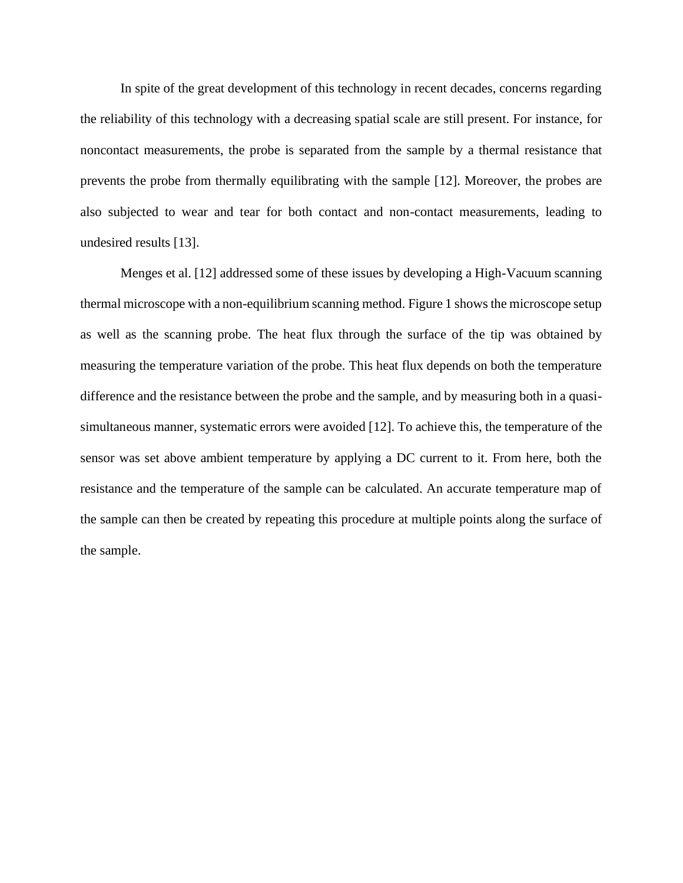In spite of the great development of this technology in recent decades, concerns regarding the reliability of this technology with a decreasing spatial scale are still present. For instance, for noncontact measurements, the probe is separated from the sample by a thermal resistance that prevents the probe from thermally equilibrating with the sample [12]. Moreover, the probes are also subjected to wear and tear for both contact and non-contact measurements, leading to undesired results [13].

Menges et al. [12] addressed some of these issues by developing a High-Vacuum scanning thermal microscope with a non-equilibrium scanning method. Figure 1 shows the microscope setup as well as the scanning probe. The heat flux through the surface of the tip was obtained by measuring the temperature variation of the probe. This heat flux depends on both the temperature difference and the resistance between the probe and the sample, and by measuring both in a quasisimultaneous manner, systematic errors were avoided [12]. To achieve this, the temperature of the sensor was set above ambient temperature by applying a DC current to it. From here, both the resistance and the temperature of the sample can be calculated. An accurate temperature map of the sample can then be created by repeating this procedure at multiple points along the surface of the sample.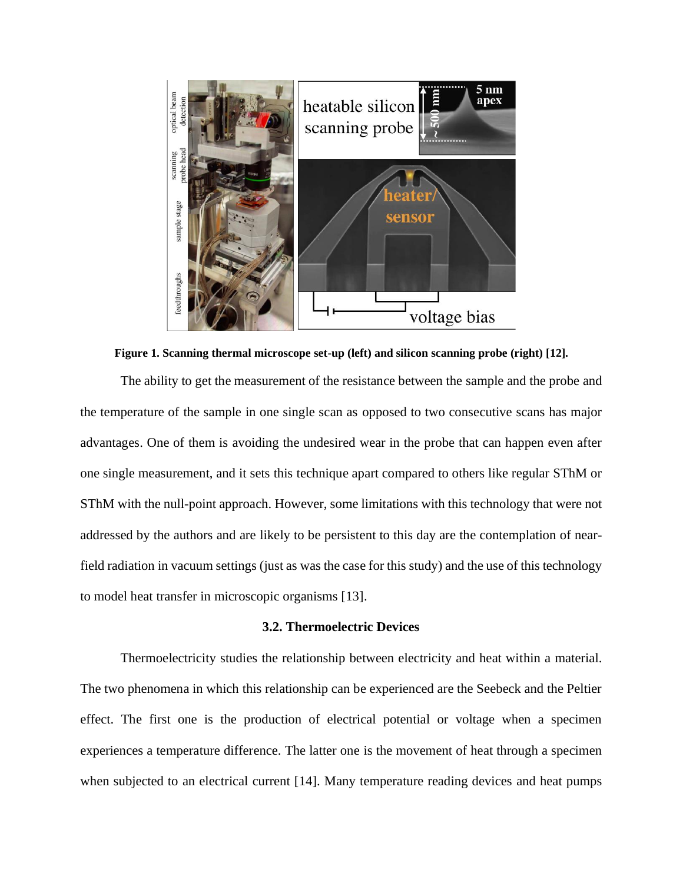

**Figure 1. Scanning thermal microscope set-up (left) and silicon scanning probe (right) [12].**

The ability to get the measurement of the resistance between the sample and the probe and the temperature of the sample in one single scan as opposed to two consecutive scans has major advantages. One of them is avoiding the undesired wear in the probe that can happen even after one single measurement, and it sets this technique apart compared to others like regular SThM or SThM with the null-point approach. However, some limitations with this technology that were not addressed by the authors and are likely to be persistent to this day are the contemplation of nearfield radiation in vacuum settings (just as was the case for this study) and the use of this technology to model heat transfer in microscopic organisms [13].

# **3.2. Thermoelectric Devices**

Thermoelectricity studies the relationship between electricity and heat within a material. The two phenomena in which this relationship can be experienced are the Seebeck and the Peltier effect. The first one is the production of electrical potential or voltage when a specimen experiences a temperature difference. The latter one is the movement of heat through a specimen when subjected to an electrical current [14]. Many temperature reading devices and heat pumps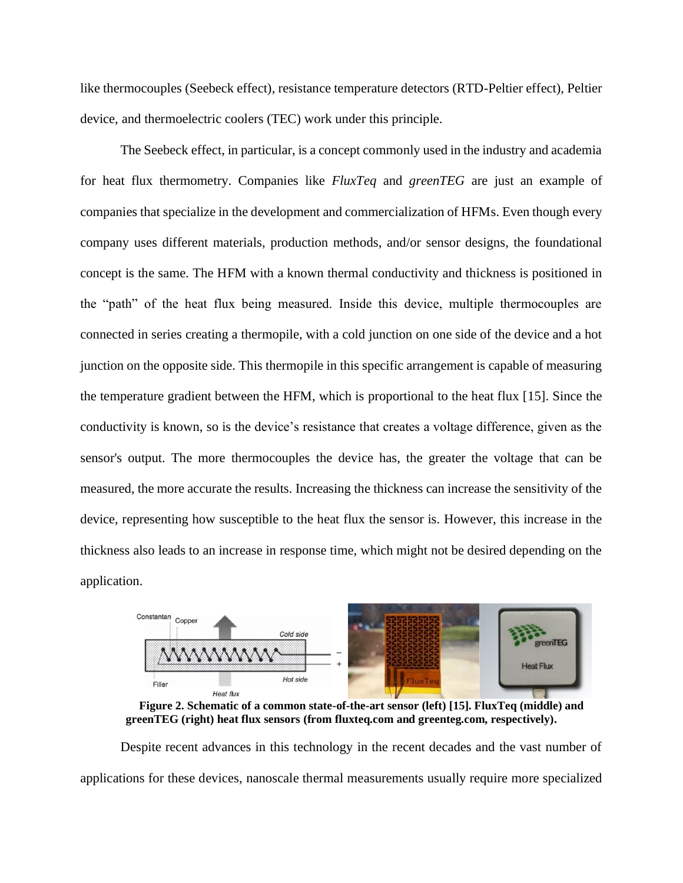like thermocouples (Seebeck effect), resistance temperature detectors (RTD-Peltier effect), Peltier device, and thermoelectric coolers (TEC) work under this principle.

The Seebeck effect, in particular, is a concept commonly used in the industry and academia for heat flux thermometry. Companies like *FluxTeq* and *greenTEG* are just an example of companies that specialize in the development and commercialization of HFMs. Even though every company uses different materials, production methods, and/or sensor designs, the foundational concept is the same. The HFM with a known thermal conductivity and thickness is positioned in the "path" of the heat flux being measured. Inside this device, multiple thermocouples are connected in series creating a thermopile, with a cold junction on one side of the device and a hot junction on the opposite side. This thermopile in this specific arrangement is capable of measuring the temperature gradient between the HFM, which is proportional to the heat flux [15]. Since the conductivity is known, so is the device's resistance that creates a voltage difference, given as the sensor's output. The more thermocouples the device has, the greater the voltage that can be measured, the more accurate the results. Increasing the thickness can increase the sensitivity of the device, representing how susceptible to the heat flux the sensor is. However, this increase in the thickness also leads to an increase in response time, which might not be desired depending on the application.



**Figure 2. Schematic of a common state-of-the-art sensor (left) [15]. FluxTeq (middle) and greenTEG (right) heat flux sensors (from fluxteq.com and greenteg.com, respectively).**

Despite recent advances in this technology in the recent decades and the vast number of applications for these devices, nanoscale thermal measurements usually require more specialized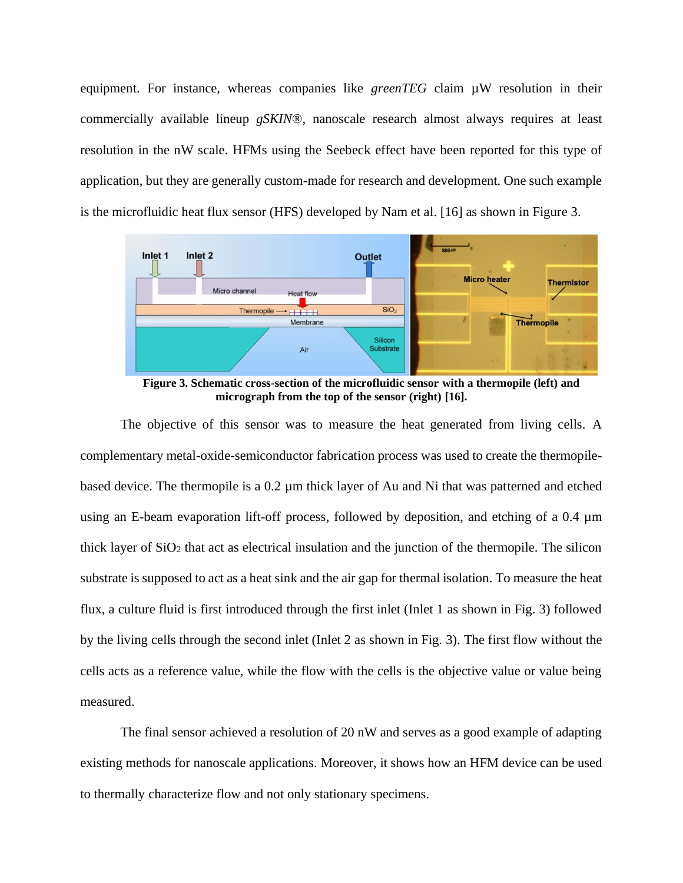equipment. For instance, whereas companies like *greenTEG* claim  $\mu$ W resolution in their commercially available lineup *gSKIN®*, nanoscale research almost always requires at least resolution in the nW scale. HFMs using the Seebeck effect have been reported for this type of application, but they are generally custom-made for research and development. One such example is the microfluidic heat flux sensor (HFS) developed by Nam et al. [16] as shown in Figure 3.



**Figure 3. Schematic cross-section of the microfluidic sensor with a thermopile (left) and micrograph from the top of the sensor (right) [16].**

The objective of this sensor was to measure the heat generated from living cells. A complementary metal-oxide-semiconductor fabrication process was used to create the thermopilebased device. The thermopile is a 0.2 µm thick layer of Au and Ni that was patterned and etched using an E-beam evaporation lift-off process, followed by deposition, and etching of a 0.4 µm thick layer of  $SiO<sub>2</sub>$  that act as electrical insulation and the junction of the thermopile. The silicon substrate is supposed to act as a heat sink and the air gap for thermal isolation. To measure the heat flux, a culture fluid is first introduced through the first inlet (Inlet 1 as shown in Fig. 3) followed by the living cells through the second inlet (Inlet 2 as shown in Fig. 3). The first flow without the cells acts as a reference value, while the flow with the cells is the objective value or value being measured.

The final sensor achieved a resolution of 20 nW and serves as a good example of adapting existing methods for nanoscale applications. Moreover, it shows how an HFM device can be used to thermally characterize flow and not only stationary specimens.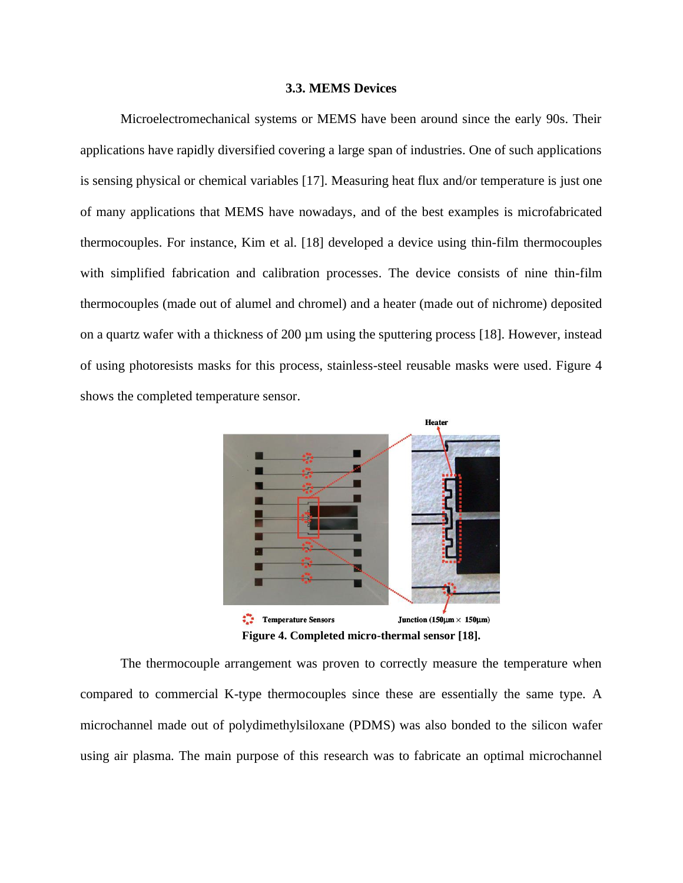#### **3.3. MEMS Devices**

Microelectromechanical systems or MEMS have been around since the early 90s. Their applications have rapidly diversified covering a large span of industries. One of such applications is sensing physical or chemical variables [17]. Measuring heat flux and/or temperature is just one of many applications that MEMS have nowadays, and of the best examples is microfabricated thermocouples. For instance, Kim et al. [18] developed a device using thin-film thermocouples with simplified fabrication and calibration processes. The device consists of nine thin-film thermocouples (made out of alumel and chromel) and a heater (made out of nichrome) deposited on a quartz wafer with a thickness of 200 µm using the sputtering process [18]. However, instead of using photoresists masks for this process, stainless-steel reusable masks were used. Figure 4 shows the completed temperature sensor.



**Figure 4. Completed micro-thermal sensor [18].**

The thermocouple arrangement was proven to correctly measure the temperature when compared to commercial K-type thermocouples since these are essentially the same type. A microchannel made out of polydimethylsiloxane (PDMS) was also bonded to the silicon wafer using air plasma. The main purpose of this research was to fabricate an optimal microchannel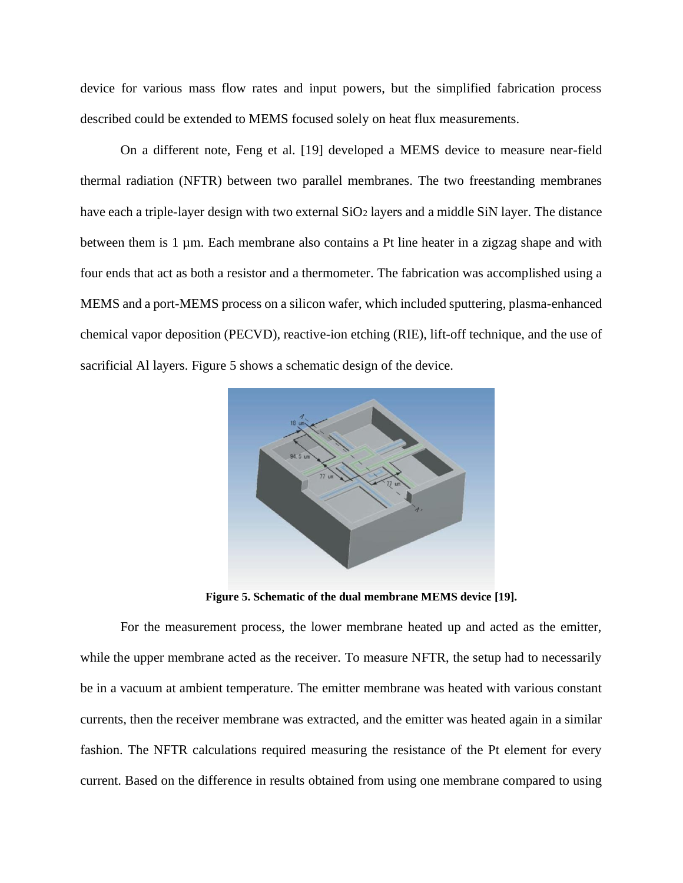device for various mass flow rates and input powers, but the simplified fabrication process described could be extended to MEMS focused solely on heat flux measurements.

On a different note, Feng et al. [19] developed a MEMS device to measure near-field thermal radiation (NFTR) between two parallel membranes. The two freestanding membranes have each a triple-layer design with two external SiO<sub>2</sub> layers and a middle SiN layer. The distance between them is 1 µm. Each membrane also contains a Pt line heater in a zigzag shape and with four ends that act as both a resistor and a thermometer. The fabrication was accomplished using a MEMS and a port-MEMS process on a silicon wafer, which included sputtering, plasma-enhanced chemical vapor deposition (PECVD), reactive-ion etching (RIE), lift-off technique, and the use of sacrificial Al layers. Figure 5 shows a schematic design of the device.



**Figure 5. Schematic of the dual membrane MEMS device [19].**

For the measurement process, the lower membrane heated up and acted as the emitter, while the upper membrane acted as the receiver. To measure NFTR, the setup had to necessarily be in a vacuum at ambient temperature. The emitter membrane was heated with various constant currents, then the receiver membrane was extracted, and the emitter was heated again in a similar fashion. The NFTR calculations required measuring the resistance of the Pt element for every current. Based on the difference in results obtained from using one membrane compared to using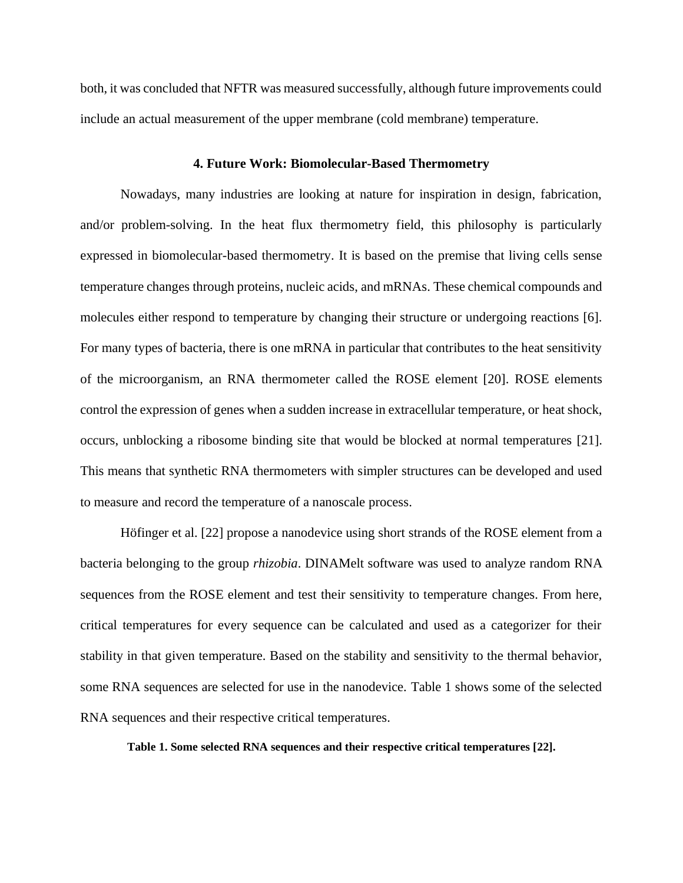both, it was concluded that NFTR was measured successfully, although future improvements could include an actual measurement of the upper membrane (cold membrane) temperature.

#### **4. Future Work: Biomolecular-Based Thermometry**

Nowadays, many industries are looking at nature for inspiration in design, fabrication, and/or problem-solving. In the heat flux thermometry field, this philosophy is particularly expressed in biomolecular-based thermometry. It is based on the premise that living cells sense temperature changes through proteins, nucleic acids, and mRNAs. These chemical compounds and molecules either respond to temperature by changing their structure or undergoing reactions [6]. For many types of bacteria, there is one mRNA in particular that contributes to the heat sensitivity of the microorganism, an RNA thermometer called the ROSE element [20]. ROSE elements control the expression of genes when a sudden increase in extracellular temperature, or heat shock, occurs, unblocking a ribosome binding site that would be blocked at normal temperatures [21]. This means that synthetic RNA thermometers with simpler structures can be developed and used to measure and record the temperature of a nanoscale process.

Höfinger et al. [22] propose a nanodevice using short strands of the ROSE element from a bacteria belonging to the group *rhizobia*. DINAMelt software was used to analyze random RNA sequences from the ROSE element and test their sensitivity to temperature changes. From here, critical temperatures for every sequence can be calculated and used as a categorizer for their stability in that given temperature. Based on the stability and sensitivity to the thermal behavior, some RNA sequences are selected for use in the nanodevice. Table 1 shows some of the selected RNA sequences and their respective critical temperatures.

**Table 1. Some selected RNA sequences and their respective critical temperatures [22].**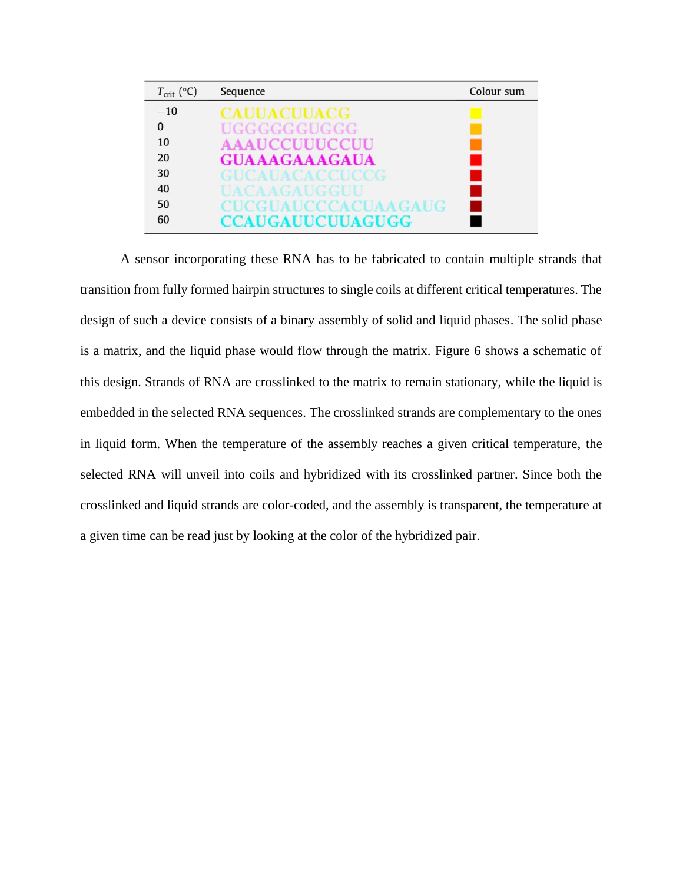| $T_{\text{crit}}$ (°C) | Sequence                    | Colour sum |
|------------------------|-----------------------------|------------|
| $-10$                  | <b>CAUUACUUACG</b>          |            |
| $\Omega$               | UGGGGGGUGGG                 |            |
| 10                     | <b>AAAUCCUUUCCUU</b>        |            |
| 20                     | <b>GUAAAGAAAGAUA</b>        |            |
| 30                     | GUCAUACACCUCCG              |            |
| 40                     | HACA AGA HGGHII             |            |
| 50                     | <b>CUCGUAUCCCACUAA GAUG</b> |            |
| 60                     | <b>CCAUGAUUCUUAGUGG</b>     |            |

A sensor incorporating these RNA has to be fabricated to contain multiple strands that transition from fully formed hairpin structures to single coils at different critical temperatures. The design of such a device consists of a binary assembly of solid and liquid phases. The solid phase is a matrix, and the liquid phase would flow through the matrix. Figure 6 shows a schematic of this design. Strands of RNA are crosslinked to the matrix to remain stationary, while the liquid is embedded in the selected RNA sequences. The crosslinked strands are complementary to the ones in liquid form. When the temperature of the assembly reaches a given critical temperature, the selected RNA will unveil into coils and hybridized with its crosslinked partner. Since both the crosslinked and liquid strands are color-coded, and the assembly is transparent, the temperature at a given time can be read just by looking at the color of the hybridized pair.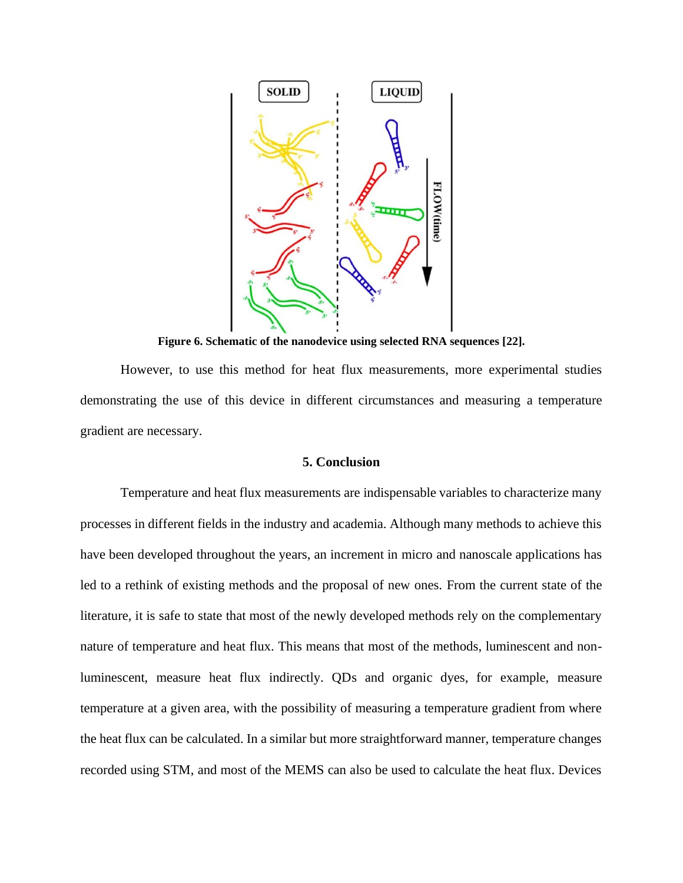

**Figure 6. Schematic of the nanodevice using selected RNA sequences [22].**

However, to use this method for heat flux measurements, more experimental studies demonstrating the use of this device in different circumstances and measuring a temperature gradient are necessary.

# **5. Conclusion**

Temperature and heat flux measurements are indispensable variables to characterize many processes in different fields in the industry and academia. Although many methods to achieve this have been developed throughout the years, an increment in micro and nanoscale applications has led to a rethink of existing methods and the proposal of new ones. From the current state of the literature, it is safe to state that most of the newly developed methods rely on the complementary nature of temperature and heat flux. This means that most of the methods, luminescent and nonluminescent, measure heat flux indirectly. QDs and organic dyes, for example, measure temperature at a given area, with the possibility of measuring a temperature gradient from where the heat flux can be calculated. In a similar but more straightforward manner, temperature changes recorded using STM, and most of the MEMS can also be used to calculate the heat flux. Devices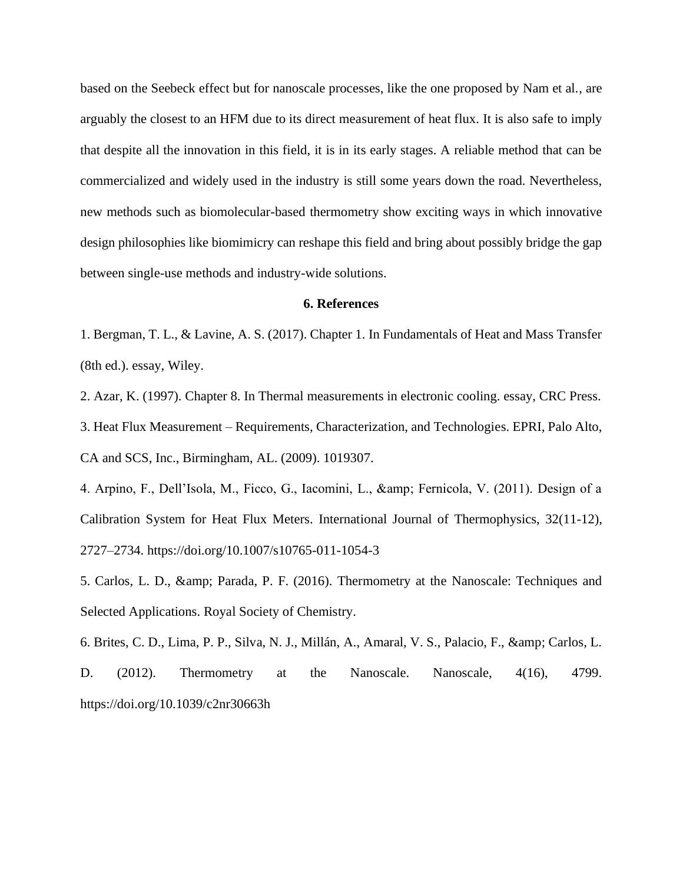based on the Seebeck effect but for nanoscale processes, like the one proposed by Nam et al., are arguably the closest to an HFM due to its direct measurement of heat flux. It is also safe to imply that despite all the innovation in this field, it is in its early stages. A reliable method that can be commercialized and widely used in the industry is still some years down the road. Nevertheless, new methods such as biomolecular-based thermometry show exciting ways in which innovative design philosophies like biomimicry can reshape this field and bring about possibly bridge the gap between single-use methods and industry-wide solutions.

#### **6. References**

1. Bergman, T. L., & Lavine, A. S. (2017). Chapter 1. In Fundamentals of Heat and Mass Transfer (8th ed.). essay, Wiley.

2. Azar, K. (1997). Chapter 8. In Thermal measurements in electronic cooling. essay, CRC Press.

3. Heat Flux Measurement – Requirements, Characterization, and Technologies. EPRI, Palo Alto, CA and SCS, Inc., Birmingham, AL. (2009). 1019307.

4. Arpino, F., Dell'Isola, M., Ficco, G., Iacomini, L., & amp; Fernicola, V. (2011). Design of a Calibration System for Heat Flux Meters. International Journal of Thermophysics, 32(11-12), 2727–2734. https://doi.org/10.1007/s10765-011-1054-3

5. Carlos, L. D., & amp; Parada, P. F. (2016). Thermometry at the Nanoscale: Techniques and Selected Applications. Royal Society of Chemistry.

6. Brites, C. D., Lima, P. P., Silva, N. J., Millán, A., Amaral, V. S., Palacio, F., & amp; Carlos, L. D. (2012). Thermometry at the Nanoscale. Nanoscale, 4(16), 4799. https://doi.org/10.1039/c2nr30663h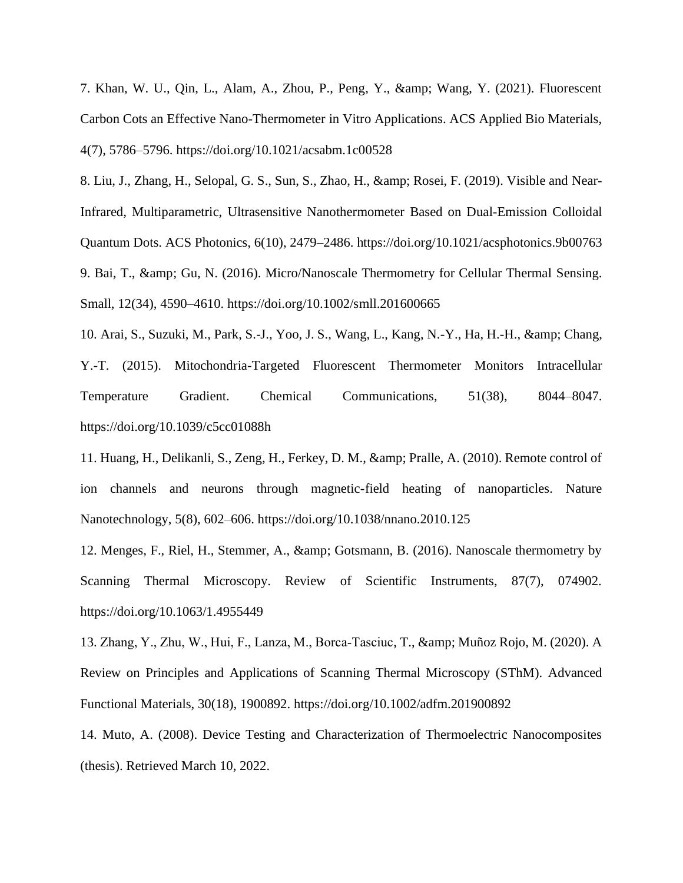7. Khan, W. U., Qin, L., Alam, A., Zhou, P., Peng, Y., & amp; Wang, Y. (2021). Fluorescent Carbon Cots an Effective Nano-Thermometer in Vitro Applications. ACS Applied Bio Materials, 4(7), 5786–5796. https://doi.org/10.1021/acsabm.1c00528

8. Liu, J., Zhang, H., Selopal, G. S., Sun, S., Zhao, H., & amp; Rosei, F. (2019). Visible and Near-Infrared, Multiparametric, Ultrasensitive Nanothermometer Based on Dual-Emission Colloidal Quantum Dots. ACS Photonics, 6(10), 2479–2486. https://doi.org/10.1021/acsphotonics.9b00763 9. Bai, T., & Gu, N. (2016). Micro/Nanoscale Thermometry for Cellular Thermal Sensing. Small, 12(34), 4590–4610. https://doi.org/10.1002/smll.201600665

10. Arai, S., Suzuki, M., Park, S.-J., Yoo, J. S., Wang, L., Kang, N.-Y., Ha, H.-H., & amp; Chang, Y.-T. (2015). Mitochondria-Targeted Fluorescent Thermometer Monitors Intracellular Temperature Gradient. Chemical Communications, 51(38), 8044–8047. https://doi.org/10.1039/c5cc01088h

11. Huang, H., Delikanli, S., Zeng, H., Ferkey, D. M., & amp; Pralle, A. (2010). Remote control of ion channels and neurons through magnetic-field heating of nanoparticles. Nature Nanotechnology, 5(8), 602–606. https://doi.org/10.1038/nnano.2010.125

12. Menges, F., Riel, H., Stemmer, A., & amp; Gotsmann, B. (2016). Nanoscale thermometry by Scanning Thermal Microscopy. Review of Scientific Instruments, 87(7), 074902. https://doi.org/10.1063/1.4955449

13. Zhang, Y., Zhu, W., Hui, F., Lanza, M., Borca-Tasciuc, T., & amp; Muñoz Rojo, M. (2020). A Review on Principles and Applications of Scanning Thermal Microscopy (SThM). Advanced Functional Materials, 30(18), 1900892. https://doi.org/10.1002/adfm.201900892

14. Muto, A. (2008). Device Testing and Characterization of Thermoelectric Nanocomposites (thesis). Retrieved March 10, 2022.